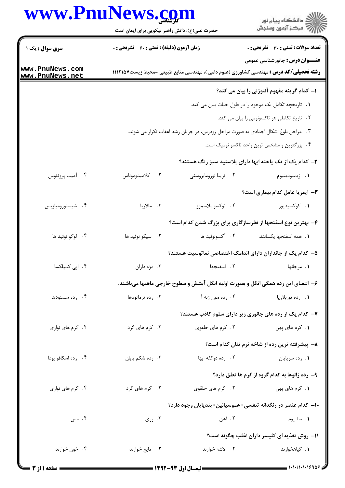## www.PnuNews.com

|                                    | www.PnuNews.com<br>حضرت علی(ع): دانش راهبر نیکویی برای ایمان است                  |                       | انشڪاه پيام نور)<br>اڳ مرڪز آزمون وسنڊش                                                                                                 |
|------------------------------------|-----------------------------------------------------------------------------------|-----------------------|-----------------------------------------------------------------------------------------------------------------------------------------|
| <b>سری سوال :</b> یک ۱             | <b>زمان آزمون (دقیقه) : تستی : 60 ٪ تشریحی : 0</b>                                |                       | <b>تعداد سوالات : تستي : 30 ٪ تشريحي : 0</b>                                                                                            |
| www.PnuNews.com<br>www.PnuNews.net |                                                                                   |                       | <b>عنـــوان درس :</b> جانورشناسي عمومي<br><b>رشته تحصیلی/کد درس :</b> مهندسی کشاورزی (علوم دامی )، مهندسی منابع طبیعی -محیط زیست1۱۱۲۱۵۷ |
|                                    |                                                                                   |                       | ۱- کدام گزینه مفهوم آنتوژنی را بیان می کند؟                                                                                             |
|                                    | 1. تاریخچه تکامل یک موجود را در طول حیات بیان می کند.                             |                       |                                                                                                                                         |
|                                    | ٢. تاریخ تکاملی هر تاکسونومی را بیان می کند.                                      |                       |                                                                                                                                         |
|                                    | ۳. مراحل بلوغ اشکال اجدادی به صورت مراحل زودرس، در جریان رشد اعقاب تکرار می شوند. |                       |                                                                                                                                         |
|                                    |                                                                                   |                       | ۴. بزرگترین و مشخص ترین واحد تاکسو نومیک است.                                                                                           |
|                                    |                                                                                   |                       | ۲- کدام یک از تک یاخته ایها دارای پلاستید سبز رنگ هستند؟                                                                                |
| ۰۴ آمیب پروتئوس                    | ۰۳ کلامیدوموناس                                                                   | ۰۲ تریبا نوزومابروسئی | 1. ژيمنودينيوم                                                                                                                          |
|                                    |                                                                                   |                       | <b>٣</b> - ایمریا عامل کدام بیماری است؟                                                                                                 |
| ۰۴ شیستوزومیازیس                   | ۰۳ مالاریا                                                                        | ٢.۔ توکسو پلاسموز     | ۰۱ کوکسیدیوز                                                                                                                            |
|                                    |                                                                                   |                       | ۴- بهترین نوع اسفنجها از نظرسازگاری برای بزرگ شدن کدام است؟                                                                             |
| ۰۴ لوکو نوئید ها                   | ۰۳ سیکو نوئید ها                                                                  | ٢. آکسونوئید ها       | 1. همه اسفنجها يكسانند.                                                                                                                 |
|                                    |                                                                                   |                       | ۵– کدام یک از جانداران دارای اندامک اختصاصی نماتوسیت هستند؟                                                                             |
| ۰۴ اپی کمپلکسا                     | ۰۳ مژه داران                                                                      | ۰۲ اسفنجها            | ۰۱ مرجانها                                                                                                                              |
|                                    |                                                                                   |                       | ۶- اعضای این رده همگی انگل و بصورت اولیه انگل آبشش و سطوح خارجی ماهیها میباشند.                                                         |
| ۰۴ رده سستودها                     | ۰۳ رده ترماتودها                                                                  | ۲. رده مون ژنه آ      | ۰۱ رده توربلاريا                                                                                                                        |
|                                    |                                                                                   |                       | ۷- کدام یک از رده های جانوری زیر دارای سلوم کاذب هستند؟                                                                                 |
| ۰۴ کرم های نواری                   | ۰۳ کرم های گرد                                                                    | ۲. کرم های حلقوی      | ٠١ كرم هاى پهن                                                                                                                          |
|                                    |                                                                                   |                       | ۸– پیشرفته ترین رده از شاخه نرم تنان کدام است؟                                                                                          |
| ۰۴ رده اسکافو پودا                 | ۰۳ رده شکم پایان                                                                  | ۲. رده دوکفه ایها     | ۰۱ رده سرپایان                                                                                                                          |
|                                    |                                                                                   |                       | ۹- رده زالوها به کدام گروه از کرم ها تعلق دارد؟                                                                                         |
| ۰۴ کرم های نواری                   | ۰۳ کرم های گرد                                                                    | ٢. كرم هاي حلقوي      | 1. كرم هاى پهن                                                                                                                          |
|                                    |                                                                                   |                       | +ا— کدام عنصر در رنگدانه تنفسی« هموسیانین» بندپایان وجود دارد؟                                                                          |
| ۰۴ مس                              | ۰۳ روی                                                                            | ۰۲ آهن                | ٠١ سلنيوم                                                                                                                               |
|                                    |                                                                                   |                       |                                                                                                                                         |
|                                    |                                                                                   |                       | <b>۱۱- روش تغذیه ای کلیسر داران اغلب چگونه است</b> ؟                                                                                    |
| ۰۴ خون خوارند                      | ۰۳ مايع خوارند                                                                    | ٢. لاشه خوارند        | ٠١ گياهخوارند                                                                                                                           |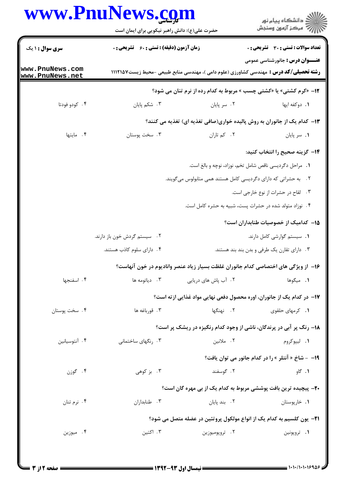## www.PnuNews.com

| www.PnuNews.com                    | حضرت علی(ع): دانش راهبر نیکویی برای ایمان است |                      | ڪ دانشڪاه پيام نور<br>پ <sup>ر</sup> مرڪز آزمون وسنڊش                                                                                   |  |
|------------------------------------|-----------------------------------------------|----------------------|-----------------------------------------------------------------------------------------------------------------------------------------|--|
| <b>سری سوال : ۱ یک</b>             | زمان آزمون (دقیقه) : تستی : 60 ٪ تشریحی : 0   |                      | <b>تعداد سوالات : تستی : 30 ٪ تشریحی : 0</b>                                                                                            |  |
| www.PnuNews.com<br>www.PnuNews.net |                                               |                      | <b>عنـــوان درس :</b> جانورشناسي عمومي<br><b>رشته تحصیلی/کد درس :</b> مهندسی کشاورزی (علوم دامی )، مهندسی منابع طبیعی -محیط زیست۱۱۱۲۱۵۷ |  |
|                                    |                                               |                      | 12- «کرم کشتی» یا «کشتی چسب » مربوط به کدام رده از نرم تنان می شود؟                                                                     |  |
| ۰۴ کودو فودتا                      | ۰۳ شکم پایان                                  | ۰۲ سر پایان          | 1. دوكفه ايها                                                                                                                           |  |
|                                    |                                               |                      | ۱۳- کدام یک از جانوران به روش پالیده خواری(صافی تغذیه ای) تغذیه می کنند؟                                                                |  |
| ۰۴ مایتها                          | ۰۳ سخت پوستان                                 | ٠٢ کم تاران          | ٠١. سر پايان                                                                                                                            |  |
|                                    |                                               |                      | ۱۴– گزینه صحیح را انتخاب کنید:                                                                                                          |  |
|                                    |                                               |                      | ٠. مراحل دگرديسي ناقص شامل تخم، نوزاد، نوچه و بالغ است.                                                                                 |  |
|                                    |                                               |                      | ۲. به حشراتی که دارای دگردیسی کامل هستند همی متابولوس میگویند.                                                                          |  |
|                                    | ۰۳ لقاح در حشرات از نوع خارجی است.            |                      |                                                                                                                                         |  |
|                                    |                                               |                      | ۰۴ نوزاد متولد شده در حشرات پست، شبیه به حشره کامل است.                                                                                 |  |
|                                    |                                               |                      | ۱۵– کدامیک از خصوصیات طنابداران است؟                                                                                                    |  |
|                                    | ۰۲ سیستم گردش خون باز دارند.                  |                      | ٠١. سيستم گوارشى كامل دارند.                                                                                                            |  |
|                                    | ۰۴ دارای سلوم کاذب هستند.                     |                      | ۰۳ دارای تقارن یک طرفی و بدن بند بند هستند.                                                                                             |  |
|                                    |                                               |                      | ۱۶– از ویژگی های اختصاصی کدام جانوران غلظت بسیار زیاد عنصر وانادیوم در خون آنهاست؟                                                      |  |
| ۰۴ اسفنجها                         | ۰۳ دیاتومه ها                                 | ۰۲ آب پاش های دریایی | ٠١. ميگوها                                                                                                                              |  |
|                                    |                                               |                      | ۱۷– در کدام یک از جانوران، اوره محصول دفعی نهایی مواد غذایی از ته است؟                                                                  |  |
| ۰۴ سخت پوستان                      | ۰۳ قورباغه ها                                 | ۰۲ نهنگها            | ۰۱ کرمهای حلقوی                                                                                                                         |  |
|                                    |                                               |                      | ۱۸- رنگ پر آبی در پرندگان، ناشی از وجود کدام رنگیزه در ریشک پر است؟                                                                     |  |
| ۰۴ آنتوسیانین                      | ۰۳ رنگهای ساختمانی                            | ۰۲ ملانین            | ۰۱ لیپوکروم                                                                                                                             |  |
|                                    |                                               |                      | 19- - شاخ « آنتلر » را در کدام جانور می توان یافت؟                                                                                      |  |
| ۰۴ گوزن                            | ۰۳ بز کوهی                                    | ۰۲ گوسفند            | ۰۱ گاو                                                                                                                                  |  |
|                                    |                                               |                      | <b>۲۰</b> - پیچیده ترین بافت پوششی مربوط به کدام یک از بی مهره گان است؟                                                                 |  |
| ۰۴ نرم تنان                        | ۰۳ طنابداران                                  | ۰۲ بند پایان         | ۰۱ خارپوستان                                                                                                                            |  |
|                                    |                                               |                      | <b>٢١</b> – يون كلسيم به كدام يک از انواع مولكول پروتئين در عضله متصل مي شود؟                                                           |  |
| ۰۴ میوزین                          | ۰۳ اکتین                                      | ۰۲ تروپوميوزين       | ۰۱ تروپونین                                                                                                                             |  |